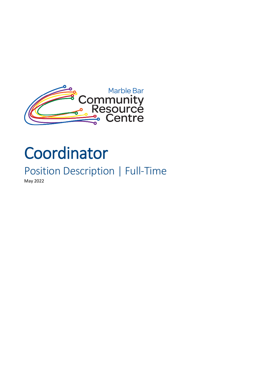

# **Coordinator**

Position Description | Full-Time May 2022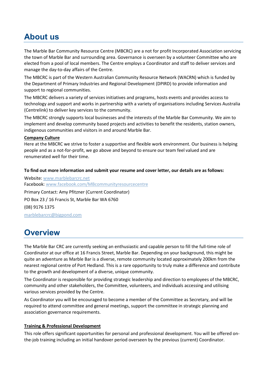# **About us**

The Marble Bar Community Resource Centre (MBCRC) are a not for profit Incorporated Association servicing the town of Marble Bar and surrounding area. Governance is overseen by a volunteer Committee who are elected from a pool of local members. The Centre employs a Coordinator and staff to deliver services and manage the day-to-day affairs of the Centre.

The MBCRC is part of the Western Australian Community Resource Network (WACRN) which is funded by the Department of Primary Industries and Regional Development (DPIRD) to provide information and support to regional communities.

The MBCRC delivers a variety of services initiatives and programs, hosts events and provides access to technology and support and works in partnership with a variety of organisations including Services Australia (Centrelink) to deliver key services to the community.

The MBCRC strongly supports local businesses and the interests of the Marble Bar Community. We aim to implement and develop community based projects and activities to benefit the residents, station owners, indigenous communities and visitors in and around Marble Bar.

#### **Company Culture**

Here at the MBCRC we strive to foster a supportive and flexible work environment. Our business is helping people and as a not-for-profit, we go above and beyond to ensure our team feel valued and are renumerated well for their time.

**To find out more information and submit your resume and cover letter, our details are as follows:** 

Website[: www.marblebarcrc.net](http://www.marblebarcrc.net/)  Facebook: [www.facebook.com/MBcommunityresourcecentre](http://www.facebook.com/MBcommunityresourcecentre) Primary Contact: Amy Pfitzner (Current Coordinator) PO Box 23 / 16 Francis St, Marble Bar WA 6760 (08) 9176 1375 [marblebarcrc@bigpond.com](mailto:marblebarcrc@bigpond.com)

# **Overview**

The Marble Bar CRC are currently seeking an enthusiastic and capable person to fill the full-time role of Coordinator at our office at 16 Francis Street, Marble Bar. Depending on your background, this might be quite an adventure as Marble Bar is a diverse, remote community located approximately 200km from the nearest regional centre of Port Hedland. This is a rare opportunity to truly make a difference and contribute to the growth and development of a diverse, unique community.

The Coordinator is responsible for providing strategic leadership and direction to employees of the MBCRC, community and other stakeholders, the Committee, volunteers, and individuals accessing and utilising various services provided by the Centre.

As Coordinator you will be encouraged to become a member of the Committee as Secretary, and will be required to attend committee and general meetings, support the committee in strategic planning and association governance requirements.

## **Training & Professional Development**

This role offers significant opportunities for personal and professional development. You will be offered onthe-job training including an initial handover period overseen by the previous (current) Coordinator.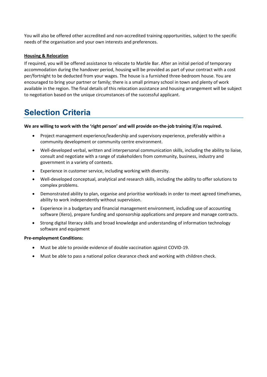You will also be offered other accredited and non-accredited training opportunities, subject to the specific needs of the organisation and your own interests and preferences.

## **Housing & Relocation**

If required, you will be offered assistance to relocate to Marble Bar. After an initial period of temporary accommodation during the handover period, housing will be provided as part of your contract with a cost per/fortnight to be deducted from your wages. The house is a furnished three-bedroom house. You are encouraged to bring your partner or family; there is a small primary school in town and plenty of work available in the region. The final details of this relocation assistance and housing arrangement will be subject to negotiation based on the unique circumstances of the successful applicant.

# **Selection Criteria**

#### **We are willing to work with the 'right person' and will provide on-the-job training if/as required.**

- Project management experience/leadership and supervisory experience, preferably within a community development or community centre environment.
- Well-developed verbal, written and interpersonal communication skills, including the ability to liaise, consult and negotiate with a range of stakeholders from community, business, industry and government in a variety of contexts.
- Experience in customer service, including working with diversity.
- Well-developed conceptual, analytical and research skills, including the ability to offer solutions to complex problems.
- Demonstrated ability to plan, organise and prioritise workloads in order to meet agreed timeframes, ability to work independently without supervision.
- Experience in a budgetary and financial management environment, including use of accounting software (Xero), prepare funding and sponsorship applications and prepare and manage contracts.
- Strong digital literacy skills and broad knowledge and understanding of information technology software and equipment

#### **Pre-employment Conditions:**

- Must be able to provide evidence of double vaccination against COVID-19.
- Must be able to pass a national police clearance check and working with children check.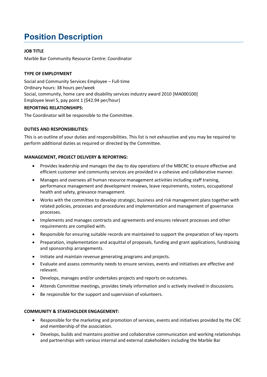# **Position Description**

## **JOB TITLE**

Marble Bar Community Resource Centre: Coordinator

## **TYPE OF EMPLOYMENT**

Social and Community Services Employee – Full-time Ordinary hours: 38 hours per/week Social, community, home care and disability services industry award 2010 [MA000100] Employee level 5, pay point 1 (\$42.94 per/hour)

## **REPORTING RELATIONSHIPS:**

The Coordinator will be responsible to the Committee.

## **DUTIES AND RESPONSIBILITIES:**

This is an outline of your duties and responsibilities. This list is not exhaustive and you may be required to perform additional duties as required or directed by the Committee.

## **MANAGEMENT, PROJECT DELIVERY & REPORTING:**

- Provides leadership and manages the day to day operations of the MBCRC to ensure effective and efficient customer and community services are provided in a cohesive and collaborative manner.
- Manages and oversees all human resource management activities including staff training, performance management and development reviews, leave requirements, rosters, occupational health and safety, grievance management.
- Works with the committee to develop strategic, business and risk management plans together with related policies, processes and procedures and implementation and management of governance processes.
- Implements and manages contracts and agreements and ensures relevant processes and other requirements are complied with.
- Responsible for ensuring suitable records are maintained to support the preparation of key reports
- Preparation, implementation and acquittal of proposals, funding and grant applications, fundraising and sponsorship arrangements.
- Initiate and maintain revenue generating programs and projects.
- Evaluate and assess community needs to ensure services, events and initiatives are effective and relevant.
- Develops, manages and/or undertakes projects and reports on outcomes.
- Attends Committee meetings, provides timely information and is actively involved in discussions.
- Be responsible for the support and supervision of volunteers.

## **COMMUNITY & STAKEHOLDER ENGAGEMENT:**

- Responsible for the marketing and promotion of services, events and initiatives provided by the CRC and membership of the association.
- Develops, builds and maintains positive and collaborative communication and working relationships and partnerships with various internal and external stakeholders including the Marble Bar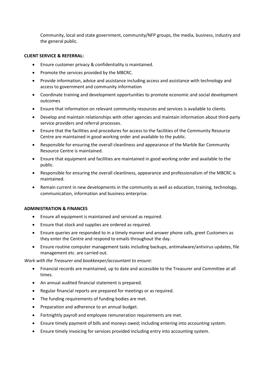Community, local and state government, community/NFP groups, the media, business, industry and the general public.

#### **CLIENT SERVICE & REFERRAL:**

- Ensure customer privacy & confidentiality is maintained.
- Promote the services provided by the MBCRC.
- Provide information, advice and assistance including access and assistance with technology and access to government and community information
- Coordinate training and development opportunities to promote economic and social development outcomes
- Ensure that information on relevant community resources and services is available to clients.
- Develop and maintain relationships with other agencies and maintain information about third-party service providers and referral processes.
- Ensure that the facilities and procedures for access to the facilities of the Community Resource Centre are maintained in good working order and available to the public.
- Responsible for ensuring the overall cleanliness and appearance of the Marble Bar Community Resource Centre is maintained.
- Ensure that equipment and facilities are maintained in good working order and available to the public.
- Responsible for ensuring the overall cleanliness, appearance and professionalism of the MBCRC is maintained.
- Remain current in new developments in the community as well as education, training, technology, communication, information and business enterprise.

#### **ADMINISTRATION & FINANCES**

- Ensure all equipment is maintained and serviced as required.
- Ensure that stock and supplies are ordered as required.
- Ensure queries are responded to in a timely manner and answer phone calls, greet Customers as they enter the Centre and respond to emails throughout the day.
- Ensure routine computer management tasks including backups, antimalware/antivirus updates, file management etc. are carried out.

*Work with the Treasurer and bookkeeper/accountant to ensure:*

- Financial records are maintained, up to date and accessible to the Treasurer and Committee at all times.
- An annual audited financial statement is prepared.
- Regular financial reports are prepared for meetings or as required.
- The funding requirements of funding bodies are met.
- Preparation and adherence to an annual budget.
- Fortnightly payroll and employee remuneration requirements are met.
- Ensure timely payment of bills and moneys owed; including entering into accounting system.
- Ensure timely invoicing for services provided including entry into accounting system.